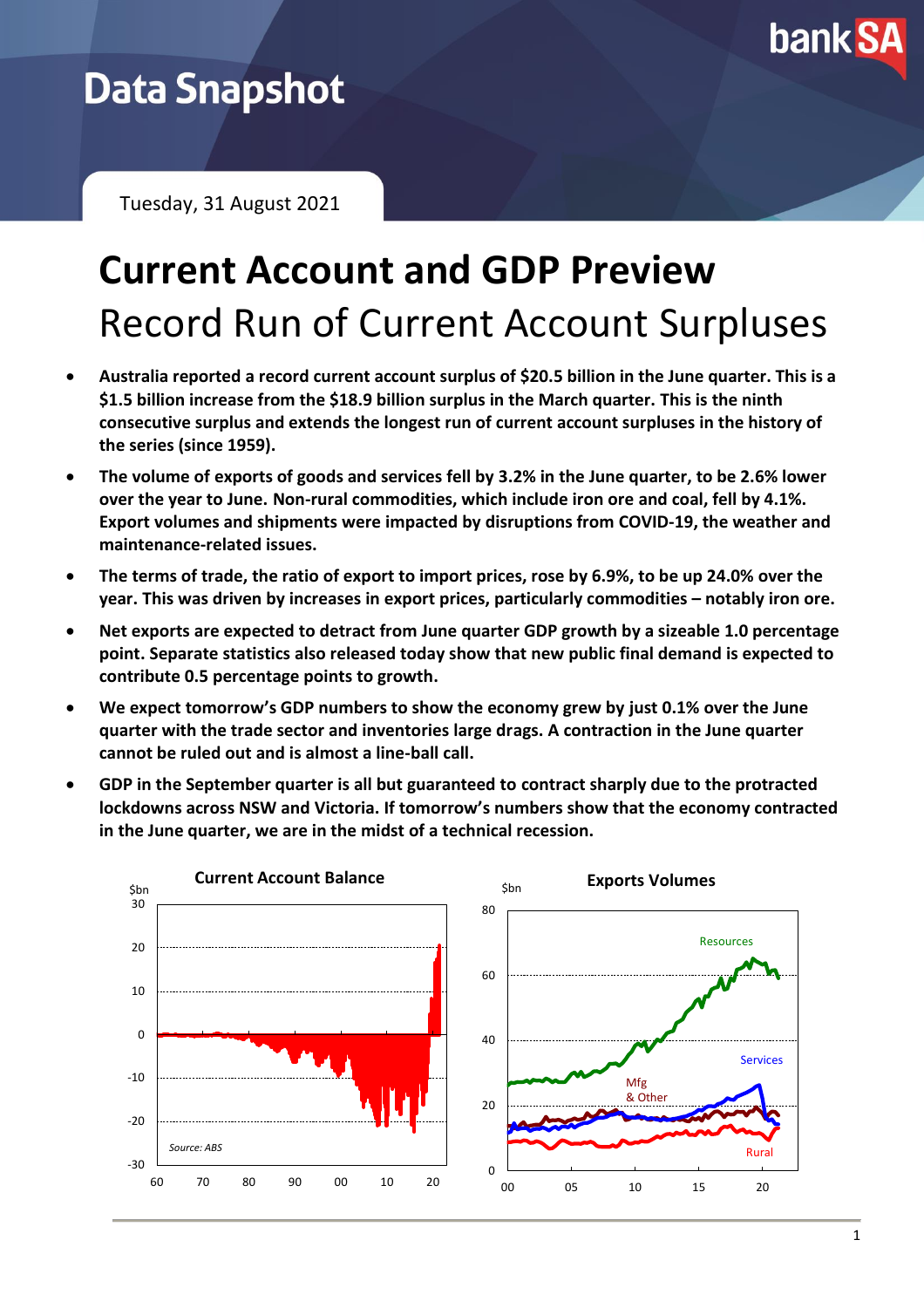

## **Data Snapshot**

Tuesday, 31 August 2021

# **Current Account and GDP Preview** Record Run of Current Account Surpluses

- **Australia reported a record current account surplus of \$20.5 billion in the June quarter. This is a \$1.5 billion increase from the \$18.9 billion surplus in the March quarter. This is the ninth consecutive surplus and extends the longest run of current account surpluses in the history of the series (since 1959).**
- **The volume of exports of goods and services fell by 3.2% in the June quarter, to be 2.6% lower over the year to June. Non-rural commodities, which include iron ore and coal, fell by 4.1%. Export volumes and shipments were impacted by disruptions from COVID-19, the weather and maintenance-related issues.**
- **The terms of trade, the ratio of export to import prices, rose by 6.9%, to be up 24.0% over the year. This was driven by increases in export prices, particularly commodities – notably iron ore.**
- **Net exports are expected to detract from June quarter GDP growth by a sizeable 1.0 percentage point. Separate statistics also released today show that new public final demand is expected to contribute 0.5 percentage points to growth.**
- **We expect tomorrow's GDP numbers to show the economy grew by just 0.1% over the June quarter with the trade sector and inventories large drags. A contraction in the June quarter cannot be ruled out and is almost a line-ball call.**
- **GDP in the September quarter is all but guaranteed to contract sharply due to the protracted lockdowns across NSW and Victoria. If tomorrow's numbers show that the economy contracted in the June quarter, we are in the midst of a technical recession.**

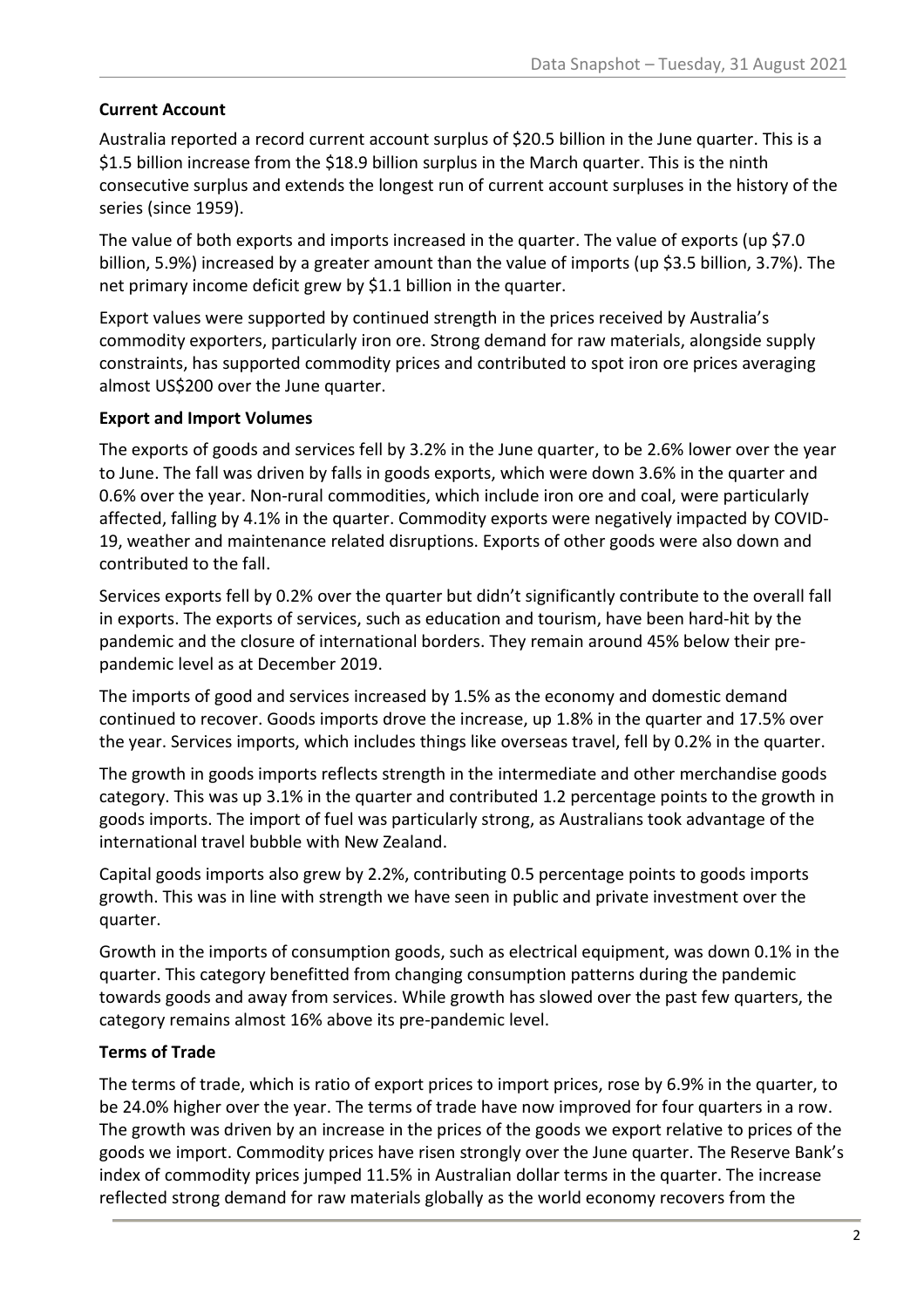### **Current Account**

Australia reported a record current account surplus of \$20.5 billion in the June quarter. This is a \$1.5 billion increase from the \$18.9 billion surplus in the March quarter. This is the ninth consecutive surplus and extends the longest run of current account surpluses in the history of the series (since 1959).

The value of both exports and imports increased in the quarter. The value of exports (up \$7.0 billion, 5.9%) increased by a greater amount than the value of imports (up \$3.5 billion, 3.7%). The net primary income deficit grew by \$1.1 billion in the quarter.

Export values were supported by continued strength in the prices received by Australia's commodity exporters, particularly iron ore. Strong demand for raw materials, alongside supply constraints, has supported commodity prices and contributed to spot iron ore prices averaging almost US\$200 over the June quarter.

### **Export and Import Volumes**

The exports of goods and services fell by 3.2% in the June quarter, to be 2.6% lower over the year to June. The fall was driven by falls in goods exports, which were down 3.6% in the quarter and 0.6% over the year. Non-rural commodities, which include iron ore and coal, were particularly affected, falling by 4.1% in the quarter. Commodity exports were negatively impacted by COVID-19, weather and maintenance related disruptions. Exports of other goods were also down and contributed to the fall.

Services exports fell by 0.2% over the quarter but didn't significantly contribute to the overall fall in exports. The exports of services, such as education and tourism, have been hard-hit by the pandemic and the closure of international borders. They remain around 45% below their prepandemic level as at December 2019.

The imports of good and services increased by 1.5% as the economy and domestic demand continued to recover. Goods imports drove the increase, up 1.8% in the quarter and 17.5% over the year. Services imports, which includes things like overseas travel, fell by 0.2% in the quarter.

The growth in goods imports reflects strength in the intermediate and other merchandise goods category. This was up 3.1% in the quarter and contributed 1.2 percentage points to the growth in goods imports. The import of fuel was particularly strong, as Australians took advantage of the international travel bubble with New Zealand.

Capital goods imports also grew by 2.2%, contributing 0.5 percentage points to goods imports growth. This was in line with strength we have seen in public and private investment over the quarter.

Growth in the imports of consumption goods, such as electrical equipment, was down 0.1% in the quarter. This category benefitted from changing consumption patterns during the pandemic towards goods and away from services. While growth has slowed over the past few quarters, the category remains almost 16% above its pre-pandemic level.

### **Terms of Trade**

The terms of trade, which is ratio of export prices to import prices, rose by 6.9% in the quarter, to be 24.0% higher over the year. The terms of trade have now improved for four quarters in a row. The growth was driven by an increase in the prices of the goods we export relative to prices of the goods we import. Commodity prices have risen strongly over the June quarter. The Reserve Bank's index of commodity prices jumped 11.5% in Australian dollar terms in the quarter. The increase reflected strong demand for raw materials globally as the world economy recovers from the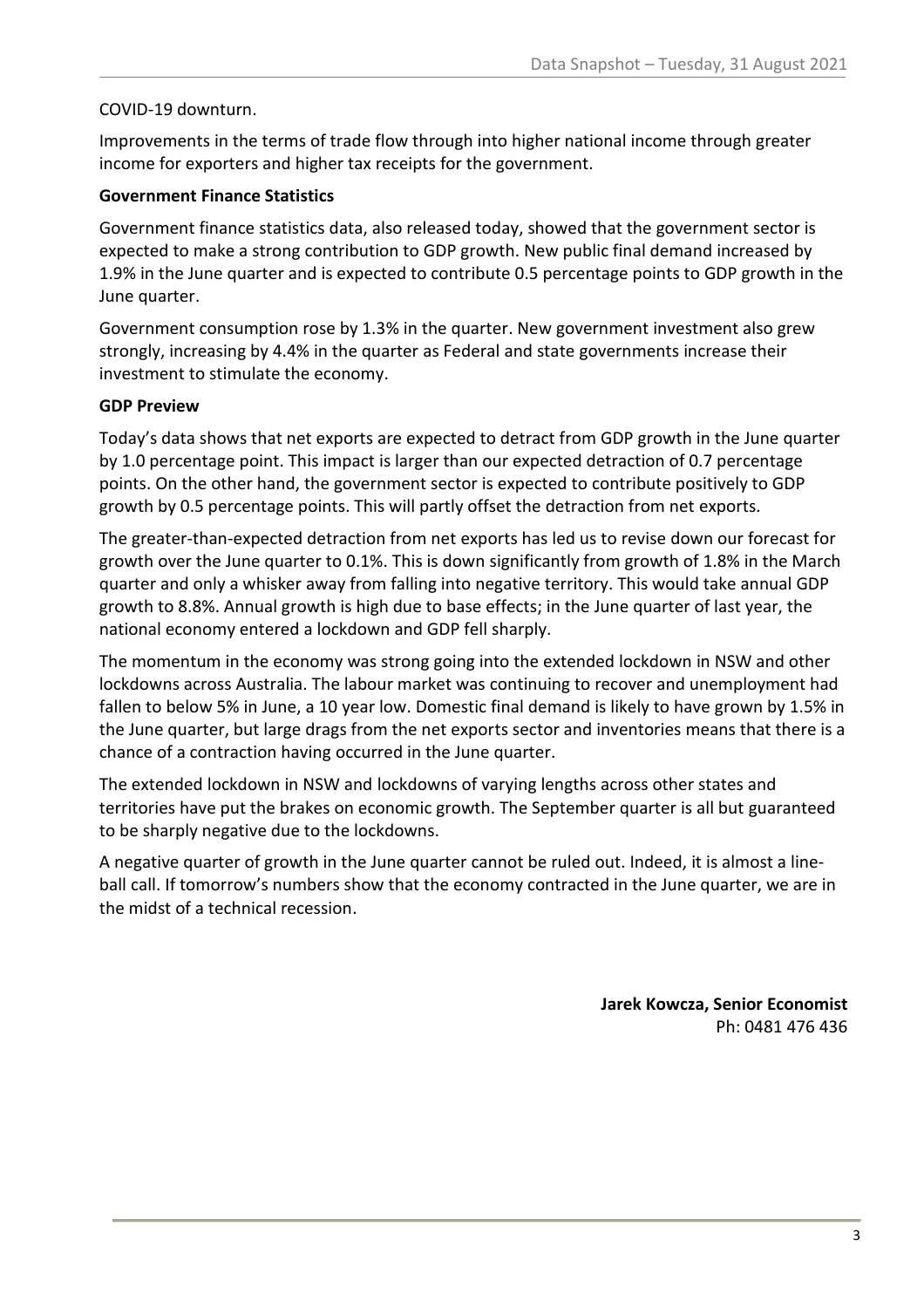#### COVID-19 downturn.

Improvements in the terms of trade flow through into higher national income through greater income for exporters and higher tax receipts for the government.

#### **Government Finance Statistics**

Government finance statistics data, also released today, showed that the government sector is expected to make a strong contribution to GDP growth. New public final demand increased by 1.9% in the June quarter and is expected to contribute 0.5 percentage points to GDP growth in the June quarter.

Government consumption rose by 1.3% in the quarter. New government investment also grew strongly, increasing by 4.4% in the quarter as Federal and state governments increase their investment to stimulate the economy.

#### **GDP Preview**

Today's data shows that net exports are expected to detract from GDP growth in the June quarter by 1.0 percentage point. This impact is larger than our expected detraction of 0.7 percentage points. On the other hand, the government sector is expected to contribute positively to GDP growth by 0.5 percentage points. This will partly offset the detraction from net exports.

The greater-than-expected detraction from net exports has led us to revise down our forecast for growth over the June quarter to 0.1%. This is down significantly from growth of 1.8% in the March quarter and only a whisker away from falling into negative territory. This would take annual GDP growth to 8.8%. Annual growth is high due to base effects; in the June quarter of last year, the national economy entered a lockdown and GDP fell sharply.

The momentum in the economy was strong going into the extended lockdown in NSW and other lockdowns across Australia. The labour market was continuing to recover and unemployment had fallen to below 5% in June, a 10 year low. Domestic final demand is likely to have grown by 1.5% in the June quarter, but large drags from the net exports sector and inventories means that there is a chance of a contraction having occurred in the June quarter.

The extended lockdown in NSW and lockdowns of varying lengths across other states and territories have put the brakes on economic growth. The September quarter is all but guaranteed to be sharply negative due to the lockdowns.

A negative quarter of growth in the June quarter cannot be ruled out. Indeed, it is almost a lineball call. If tomorrow's numbers show that the economy contracted in the June quarter, we are in the midst of a technical recession.

> **Jarek Kowcza, Senior Economist** Ph: 0481 476 436